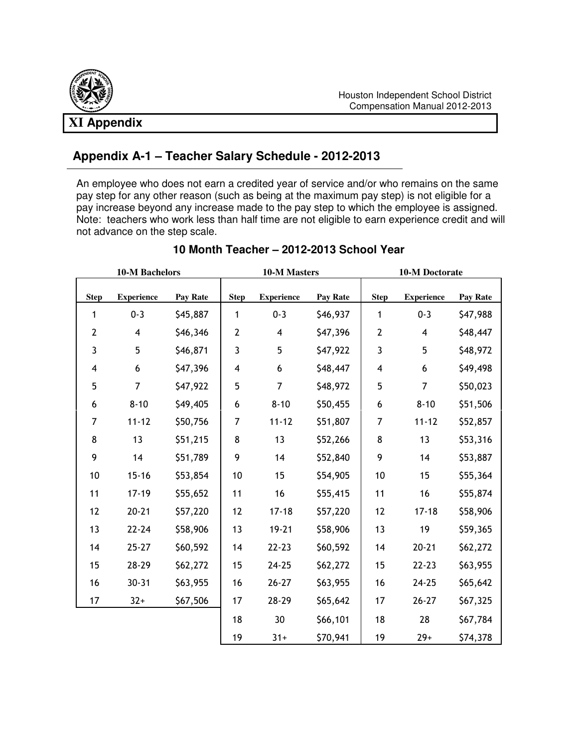

# **Appendix A-1 – Teacher Salary Schedule - 2012-2013**

 An employee who does not earn a credited year of service and/or who remains on the same pay step for any other reason (such as being at the maximum pay step) is not eligible for a pay increase beyond any increase made to the pay step to which the employee is assigned. Note: teachers who work less than half time are not eligible to earn experience credit and will not advance on the step scale.

| <b>10-M Bachelors</b> |                         |          | 10-M Masters |                         |          | 10-M Doctorate          |                   |          |
|-----------------------|-------------------------|----------|--------------|-------------------------|----------|-------------------------|-------------------|----------|
| <b>Step</b>           | <b>Experience</b>       | Pay Rate | <b>Step</b>  | <b>Experience</b>       | Pay Rate | <b>Step</b>             | <b>Experience</b> | Pay Rate |
| 1                     | $0 - 3$                 | \$45,887 | 1            | $0 - 3$                 | \$46,937 | $\mathbf{1}$            | $0 - 3$           | \$47,988 |
| $\overline{2}$        | $\overline{\mathbf{4}}$ | \$46,346 | $\mathbf 2$  | $\overline{\mathbf{4}}$ | \$47,396 | $\overline{2}$          | 4                 | \$48,447 |
| 3                     | 5                       | \$46,871 | 3            | 5                       | \$47,922 | $\mathfrak{Z}$          | 5                 | \$48,972 |
| 4                     | 6                       | \$47,396 | 4            | 6                       | \$48,447 | $\overline{\mathbf{4}}$ | 6                 | \$49,498 |
| 5                     | 7                       | \$47,922 | 5            | $\overline{7}$          | \$48,972 | 5                       | 7                 | \$50,023 |
| 6                     | $8 - 10$                | \$49,405 | 6            | $8 - 10$                | \$50,455 | 6                       | $8 - 10$          | \$51,506 |
| 7                     | $11 - 12$               | \$50,756 | 7            | $11 - 12$               | \$51,807 | 7                       | $11 - 12$         | \$52,857 |
| 8                     | 13                      | \$51,215 | 8            | 13                      | \$52,266 | 8                       | 13                | \$53,316 |
| 9                     | 14                      | \$51,789 | 9            | 14                      | \$52,840 | 9                       | 14                | \$53,887 |
| 10                    | $15 - 16$               | \$53,854 | 10           | 15                      | \$54,905 | 10                      | 15                | \$55,364 |
| 11                    | $17 - 19$               | \$55,652 | 11           | 16                      | \$55,415 | 11                      | 16                | \$55,874 |
| 12                    | $20 - 21$               | \$57,220 | 12           | $17 - 18$               | \$57,220 | 12                      | $17 - 18$         | \$58,906 |
| 13                    | $22 - 24$               | \$58,906 | 13           | $19 - 21$               | \$58,906 | 13                      | 19                | \$59,365 |
| 14                    | $25 - 27$               | \$60,592 | 14           | $22 - 23$               | \$60,592 | 14                      | $20 - 21$         | \$62,272 |
| 15                    | 28-29                   | \$62,272 | 15           | $24 - 25$               | \$62,272 | 15                      | $22 - 23$         | \$63,955 |
| 16                    | $30 - 31$               | \$63,955 | 16           | $26 - 27$               | \$63,955 | 16                      | $24 - 25$         | \$65,642 |
| 17                    | $32+$                   | \$67,506 | 17           | 28-29                   | \$65,642 | 17                      | $26 - 27$         | \$67,325 |
|                       |                         |          | 18           | 30                      | \$66,101 | 18                      | 28                | \$67,784 |
|                       |                         |          | 19           | $31 +$                  | \$70,941 | 19                      | $29+$             | \$74,378 |

#### **10 Month Teacher – 2012-2013 School Year**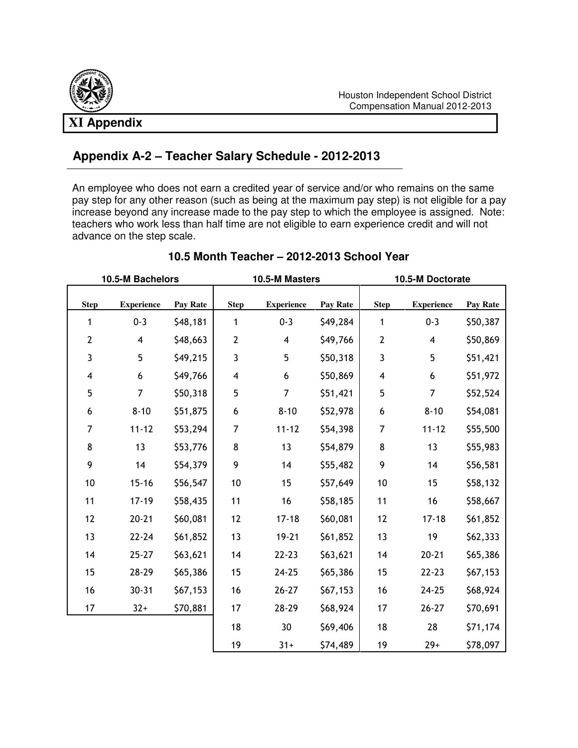# **Appendix A-2 – Teacher Salary Schedule - 2012-2013**

An employee who does not earn a credited year of service and/or who remains on the same pay step for any other reason (such as being at the maximum pay step) is not eligible for a pay increase beyond any increase made to the pay step to which the employee is assigned. Note: teachers who work less than half time are not eligible to earn experience credit and will not advance on the step scale.

| 10.5-M Bachelors        |                         |          | 10.5-M Masters          |                   |          | 10.5-M Doctorate        |                   |          |
|-------------------------|-------------------------|----------|-------------------------|-------------------|----------|-------------------------|-------------------|----------|
| <b>Step</b>             | <b>Experience</b>       | Pay Rate | <b>Step</b>             | <b>Experience</b> | Pay Rate | <b>Step</b>             | <b>Experience</b> | Pay Rate |
| 1                       | $0 - 3$                 | \$48,181 | 1                       | $0 - 3$           | \$49,284 | 1                       | $0 - 3$           | \$50,387 |
| $\mathbf 2$             | $\overline{\mathbf{4}}$ | \$48,663 | $\mathbf{2}$            | 4                 | \$49,766 | $\mathbf 2$             | 4                 | \$50,869 |
| 3                       | 5                       | \$49,215 | $\mathbf{3}$            | 5                 | \$50,318 | $\mathbf{3}$            | 5                 | \$51,421 |
| $\overline{\mathbf{4}}$ | $\boldsymbol{6}$        | \$49,766 | $\overline{\mathbf{4}}$ | 6                 | \$50,869 | $\overline{\mathbf{4}}$ | 6                 | \$51,972 |
| 5                       | $\overline{7}$          | \$50,318 | 5                       | $\overline{7}$    | \$51,421 | 5                       | $\overline{7}$    | \$52,524 |
| $\boldsymbol{6}$        | $8 - 10$                | \$51,875 | $\boldsymbol{6}$        | $8 - 10$          | \$52,978 | $\boldsymbol{6}$        | $8 - 10$          | \$54,081 |
| 7                       | $11 - 12$               | \$53,294 | 7                       | $11 - 12$         | \$54,398 | 7                       | $11 - 12$         | \$55,500 |
| 8                       | 13                      | \$53,776 | $\bf 8$                 | 13                | \$54,879 | 8                       | 13                | \$55,983 |
| 9                       | 14                      | \$54,379 | 9                       | 14                | \$55,482 | 9                       | 14                | \$56,581 |
| $10$                    | $15 - 16$               | \$56,547 | $10$                    | 15                | \$57,649 | $10$                    | 15                | \$58,132 |
| 11                      | $17 - 19$               | \$58,435 | 11                      | 16                | \$58,185 | 11                      | 16                | \$58,667 |
| 12                      | $20 - 21$               | \$60,081 | 12                      | $17 - 18$         | \$60,081 | 12                      | $17 - 18$         | \$61,852 |
| 13                      | $22 - 24$               | \$61,852 | 13                      | $19 - 21$         | \$61,852 | 13                      | 19                | \$62,333 |
| 14                      | $25 - 27$               | \$63,621 | 14                      | $22 - 23$         | \$63,621 | 14                      | $20 - 21$         | \$65,386 |
| 15                      | 28-29                   | \$65,386 | 15                      | $24 - 25$         | \$65,386 | 15                      | $22 - 23$         | \$67,153 |
| 16                      | $30 - 31$               | \$67,153 | 16                      | $26 - 27$         | \$67,153 | 16                      | $24 - 25$         | \$68,924 |
| 17                      | $32+$                   | \$70,881 | 17                      | 28-29             | \$68,924 | 17                      | $26 - 27$         | \$70,691 |
|                         |                         |          | 18                      | 30                | \$69,406 | 18                      | 28                | \$71,174 |
|                         |                         |          | 19                      | $31 +$            | \$74,489 | 19                      | $29+$             | \$78,097 |

### **10.5 Month Teacher – 2012-2013 School Year**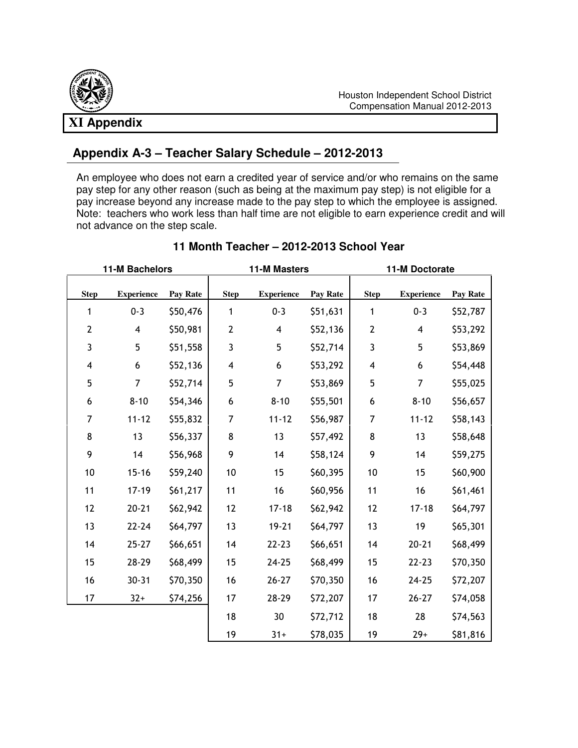# **XI Appendix**

## **Appendix A-3 – Teacher Salary Schedule – 2012-2013**

An employee who does not earn a credited year of service and/or who remains on the same pay step for any other reason (such as being at the maximum pay step) is not eligible for a pay increase beyond any increase made to the pay step to which the employee is assigned. Note: teachers who work less than half time are not eligible to earn experience credit and will not advance on the step scale.

| 11-M Bachelors |                         |          | <b>11-M Masters</b> |                         |          | 11-M Doctorate          |                         |          |
|----------------|-------------------------|----------|---------------------|-------------------------|----------|-------------------------|-------------------------|----------|
| <b>Step</b>    | <b>Experience</b>       | Pay Rate | <b>Step</b>         | <b>Experience</b>       | Pay Rate | <b>Step</b>             | <b>Experience</b>       | Pay Rate |
| 1              | $0 - 3$                 | \$50,476 | 1                   | $0 - 3$                 | \$51,631 | 1                       | $0 - 3$                 | \$52,787 |
| $\mathbf{2}$   | $\overline{\mathbf{4}}$ | \$50,981 | $\mathbf{2}$        | $\overline{\mathbf{4}}$ | \$52,136 | 2                       | $\overline{\mathbf{4}}$ | \$53,292 |
| 3              | 5                       | \$51,558 | 3                   | 5                       | \$52,714 | 3                       | 5                       | \$53,869 |
| 4              | 6                       | \$52,136 | 4                   | 6                       | \$53,292 | $\overline{\mathbf{4}}$ | 6                       | \$54,448 |
| 5              | $\overline{7}$          | \$52,714 | 5                   | $\overline{7}$          | \$53,869 | 5                       | $\overline{7}$          | \$55,025 |
| 6              | $8 - 10$                | \$54,346 | 6                   | $8 - 10$                | \$55,501 | 6                       | $8 - 10$                | \$56,657 |
| 7              | $11 - 12$               | \$55,832 | $\overline{7}$      | $11 - 12$               | \$56,987 | 7                       | $11 - 12$               | \$58,143 |
| 8              | 13                      | \$56,337 | 8                   | 13                      | \$57,492 | 8                       | 13                      | \$58,648 |
| 9              | 14                      | \$56,968 | 9                   | 14                      | \$58,124 | 9                       | 14                      | \$59,275 |
| 10             | $15 - 16$               | \$59,240 | 10                  | 15                      | \$60,395 | 10                      | 15                      | \$60,900 |
| 11             | $17 - 19$               | \$61,217 | 11                  | 16                      | \$60,956 | 11                      | 16                      | \$61,461 |
| 12             | $20 - 21$               | \$62,942 | 12                  | $17 - 18$               | \$62,942 | 12                      | $17 - 18$               | \$64,797 |
| 13             | $22 - 24$               | \$64,797 | 13                  | $19 - 21$               | \$64,797 | 13                      | 19                      | \$65,301 |
| 14             | $25 - 27$               | \$66,651 | 14                  | $22 - 23$               | \$66,651 | 14                      | $20 - 21$               | \$68,499 |
| 15             | 28-29                   | \$68,499 | 15                  | $24 - 25$               | \$68,499 | 15                      | $22 - 23$               | \$70,350 |
| 16             | $30 - 31$               | \$70,350 | 16                  | $26 - 27$               | \$70,350 | 16                      | $24 - 25$               | \$72,207 |
| 17             | $32+$                   | \$74,256 | 17                  | 28-29                   | \$72,207 | 17                      | $26 - 27$               | \$74,058 |
|                |                         |          | 18                  | 30                      | \$72,712 | 18                      | 28                      | \$74,563 |
|                |                         |          | 19                  | $31+$                   | \$78,035 | 19                      | $29+$                   | \$81,816 |

#### **11 Month Teacher – 2012-2013 School Year**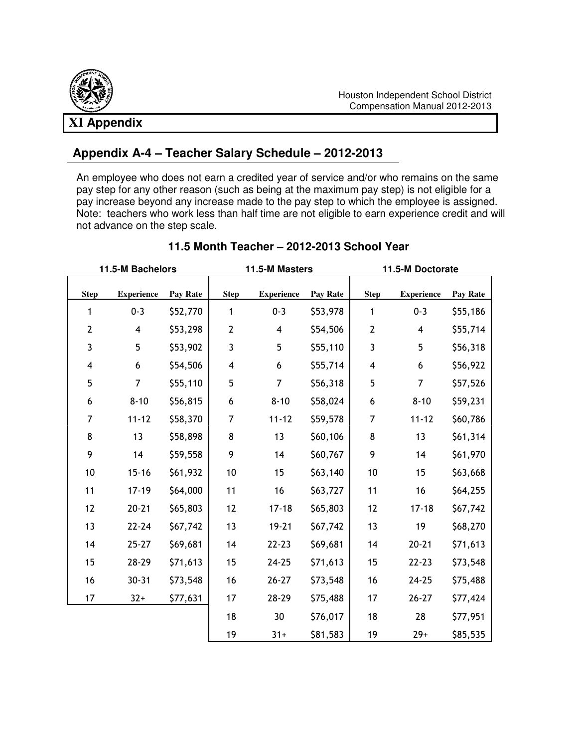# **XI Appendix**

## **Appendix A-4 – Teacher Salary Schedule – 2012-2013**

An employee who does not earn a credited year of service and/or who remains on the same pay step for any other reason (such as being at the maximum pay step) is not eligible for a pay increase beyond any increase made to the pay step to which the employee is assigned. Note: teachers who work less than half time are not eligible to earn experience credit and will not advance on the step scale.

| 11.5-M Bachelors        |                   |                 | 11.5-M Masters          |                         |          | 11.5-M Doctorate        |                         |          |
|-------------------------|-------------------|-----------------|-------------------------|-------------------------|----------|-------------------------|-------------------------|----------|
| <b>Step</b>             | <b>Experience</b> | <b>Pay Rate</b> | <b>Step</b>             | <b>Experience</b>       | Pay Rate | <b>Step</b>             | <b>Experience</b>       | Pay Rate |
| 1                       | $0 - 3$           | \$52,770        | 1                       | $0 - 3$                 | \$53,978 | 1                       | $0 - 3$                 | \$55,186 |
| $\mathbf 2$             | $\overline{4}$    | \$53,298        | $\mathbf{2}$            | $\overline{\mathbf{4}}$ | \$54,506 | $\overline{2}$          | $\overline{\mathbf{4}}$ | \$55,714 |
| 3                       | 5                 | \$53,902        | 3                       | 5                       | \$55,110 | 3                       | 5                       | \$56,318 |
| $\overline{\mathbf{4}}$ | 6                 | \$54,506        | $\overline{\mathbf{4}}$ | 6                       | \$55,714 | $\overline{\mathbf{4}}$ | 6                       | \$56,922 |
| 5                       | $\overline{7}$    | \$55,110        | 5                       | $\overline{7}$          | \$56,318 | 5                       | $\overline{7}$          | \$57,526 |
| $\boldsymbol{6}$        | $8 - 10$          | \$56,815        | 6                       | $8 - 10$                | \$58,024 | $\boldsymbol{6}$        | $8 - 10$                | \$59,231 |
| 7                       | $11 - 12$         | \$58,370        | 7                       | $11 - 12$               | \$59,578 | 7                       | $11 - 12$               | \$60,786 |
| 8                       | 13                | \$58,898        | 8                       | 13                      | \$60,106 | 8                       | 13                      | \$61,314 |
| 9                       | 14                | \$59,558        | 9                       | 14                      | \$60,767 | 9                       | 14                      | \$61,970 |
| 10                      | $15 - 16$         | \$61,932        | 10                      | 15                      | \$63,140 | 10                      | 15                      | \$63,668 |
| 11                      | $17 - 19$         | \$64,000        | 11                      | 16                      | \$63,727 | 11                      | 16                      | \$64,255 |
| 12                      | $20 - 21$         | \$65,803        | 12                      | $17 - 18$               | \$65,803 | 12                      | $17 - 18$               | \$67,742 |
| 13                      | $22 - 24$         | \$67,742        | 13                      | $19 - 21$               | \$67,742 | 13                      | 19                      | \$68,270 |
| 14                      | $25 - 27$         | \$69,681        | 14                      | $22 - 23$               | \$69,681 | 14                      | $20 - 21$               | \$71,613 |
| 15                      | 28-29             | \$71,613        | 15                      | $24 - 25$               | \$71,613 | 15                      | $22 - 23$               | \$73,548 |
| 16                      | $30 - 31$         | \$73,548        | 16                      | $26 - 27$               | \$73,548 | 16                      | $24 - 25$               | \$75,488 |
| 17                      | $32+$             | \$77,631        | 17                      | 28-29                   | \$75,488 | 17                      | $26 - 27$               | \$77,424 |
|                         |                   |                 | 18                      | 30                      | \$76,017 | 18                      | 28                      | \$77,951 |
|                         |                   |                 | 19                      | $31+$                   | \$81,583 | 19                      | $29+$                   | \$85,535 |

#### **11.5 Month Teacher – 2012-2013 School Year**